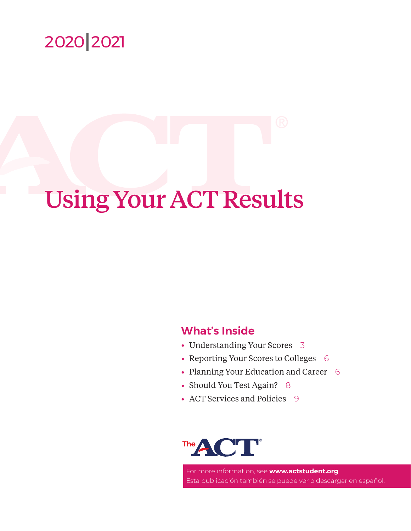

# Using Your ACT Results

# **What's Inside**

- Understanding Your Scores [3](#page-2-0)
- Reporting Your Scores to Colleges [6](#page-5-0)
- Planning Your Education and Career [6](#page-5-1)
- Should You Test Again? [8](#page-7-0)
- ACT Services and Policies [9](#page-8-0)

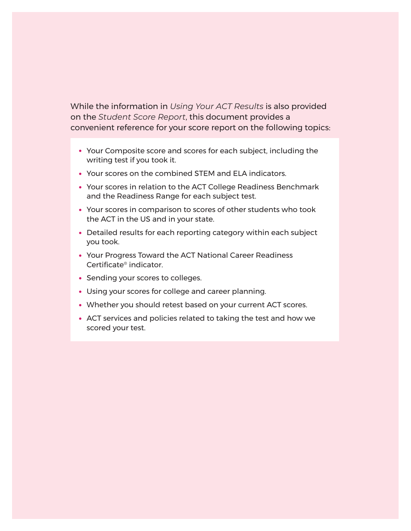While the information in *Using Your ACT Results* is also provided on the *Student Score Report*, this document provides a convenient reference for your score report on the following topics:

- Your Composite score and scores for each subject, including the writing test if you took it.
- Your scores on the combined STEM and ELA indicators.
- Your scores in relation to the ACT College Readiness Benchmark and the Readiness Range for each subject test.
- Your scores in comparison to scores of other students who took the ACT in the US and in your state.
- Detailed results for each reporting category within each subject you took.
- Your Progress Toward the ACT National Career Readiness Certificate® indicator.
- Sending your scores to colleges.
- Using your scores for college and career planning.
- Whether you should retest based on your current ACT scores.
- ACT services and policies related to taking the test and how we scored your test.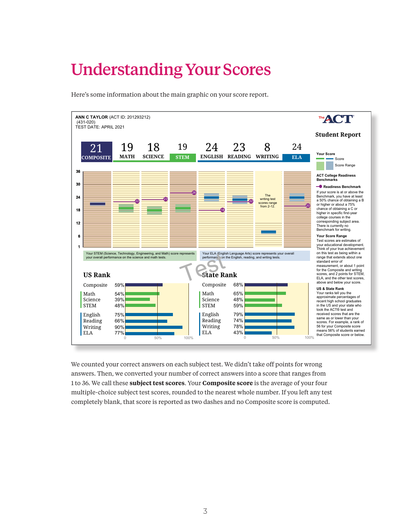# <span id="page-2-0"></span>Understanding Your Scores

Here's some information about the main graphic on your score report.



Preparing for Higher Math 15 of 35 **43%** 3 of 5 **60%** verted your number of correct answers into a score that rai 1 to 36. We call these **subject test scores**. Your **Composite score** is the average of your four multiple-choice subject test scores, rounded to the nearest whole number. If you left any test 2 of 6 **33%** Key Ideas & Details 17 of 24 **71%** Integrating Essential Skills 11 of 25 **44%**  $W_0$  didn't toles of woints  $\ell$ We counted your correct answers on each subject test. We didn't take off points for wrong Craft & Structure 5 of 10 **50%** <sup>l</sup> Number & Quantity answers. Then, we converted your number of correct answers into a score that ranges from completely blank, that score is reported as two dashes and no Composite score is computed.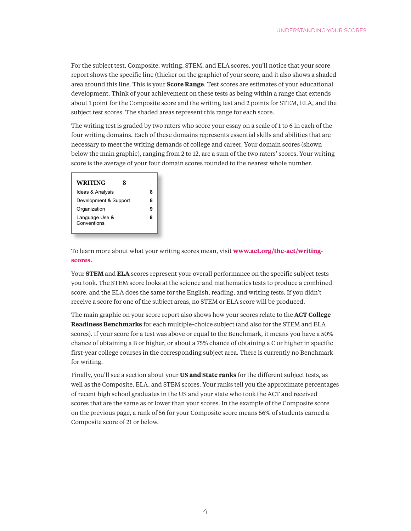For the subject test, Composite, writing, STEM, and ELA scores, you'll notice that your score report shows the specific line (thicker on the graphic) of your score, and it also shows a shaded report shows the specific line (thicker on the graphic) of your score, and it also shows a shaded area around this line. This is your **Score Range**. Test scores are estimates of your educational development. Think of your achievement on these tests as being within a range that extends about 1 point for the Composite score and the writing test and 2 points for STEM, ELA, and the subject test scores. The shaded areas represent this range for each score. port shows the specific fine (time) Craft & Structure 5 of 10 **50%**

The writing test is graded by two raters who score your essay on a scale of 1 to 6 in each of the four writing domains. Each of these domains represents essential skills and abilities that are necessary to meet the writing demands of college and career. Your domain scores (shown below the main graphic), ranging from 2 to 12, are a sum of the two raters' scores. Your writing score is the average of your four domain scores rounded to the nearest whole number. Below Proficient Above **Career Reading** 

| <b>WRITING</b><br>Ջ           |   |
|-------------------------------|---|
| Ideas & Analysis              | 8 |
| Development & Support         | 8 |
| Organization                  | ч |
| Language Use &<br>Conventions | 8 |

To learn more about what your writing scores mean, visit **[www.act.org/the-act/writing](www.act.org/the-act/writing-scores)[scores.](www.act.org/the-act/writing-scores)**

your writing score, visit

Your **STEM** and **ELA** scores represent your overall performance on the specific subject tests you took. The STEM score looks at the science and mathematics tests to produce a combined score, and the ELA does the same for the English, reading, and writing tests. If you didn't receive a score for one of the subject areas, no STEM or ELA score will be produced.

The main graphic on your score report also shows how your scores relate to the **ACT College Readiness Benchmarks** for each multiple-choice subject (and also for the STEM and ELA scores). If your score for a test was above or equal to the Benchmark, it means you have a 50% chance of obtaining a B or higher, or about a 75% chance of obtaining a C or higher in specific first-year college courses in the corresponding subject area. There is currently no Benchmark for writing.

Finally, you'll see a section about your **US and State ranks** for the different subject tests, as well as the Composite, ELA, and STEM scores. Your ranks tell you the approximate percentages of recent high school graduates in the US and your state who took the ACT and received scores that are the same as or lower than your scores. In the example of the Composite score on the previous page, a rank of 56 for your Composite score means 56% of students earned a Composite score of 21 or below.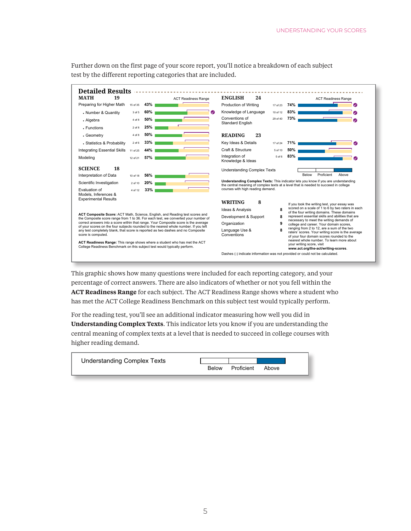Further down on the first page of your score report, you'll notice a breakdown of each subject test by the different reporting categories that are included.  $\mathcal{L}_{\text{max}}$  $\alpha$  are included. Test scores are estimates of  $\alpha$ 



This graphic shows how many questions were included for each reporting category, and your percentage of correct answers. There are also indicators of whether or not you fell within the **ACT Readiness Range** for each subject. The ACT Readiness Range shows where a student who has met the ACT College Readiness Benchmark on this subject test would typically perform.

For the reading test, you'll see an additional indicator measuring how well you did in **Understanding Complex Texts**. This indicator lets you know if you are understanding the ü central meaning of complex texts at a level that is needed to succeed in college courses with higher reading demand. noi reading dennant

| <b>Understanding Complex Texts</b> |              |            |       |
|------------------------------------|--------------|------------|-------|
|                                    | <b>Below</b> | Proficient | Ahove |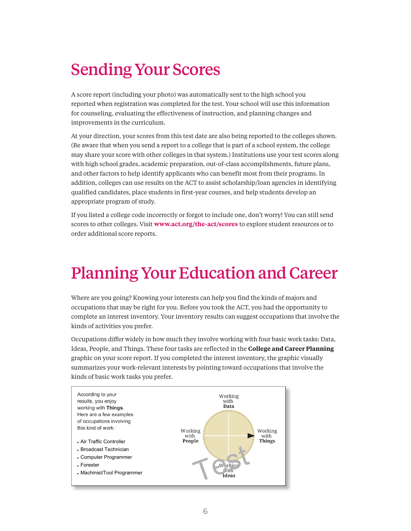# <span id="page-5-0"></span>Sending Your Scores

A score report (including your photo) was automatically sent to the high school you reported when registration was completed for the test. Your school will use this information for counseling, evaluating the effectiveness of instruction, and planning changes and improvements in the curriculum.

At your direction, your scores from this test date are also being reported to the colleges shown. (Be aware that when you send a report to a college that is part of a school system, the college may share your score with other colleges in that system.) Institutions use your test scores along with high school grades, academic preparation, out-of-class accomplishments, future plans, and other factors to help identify applicants who can benefit most from their programs. In addition, colleges can use results on the ACT to assist scholarship/loan agencies in identifying qualified candidates, place students in first-year courses, and help students develop an appropriate program of study. **Sending Your Scores**  $A \rightarrow A$  score report (including your photon) was automatically sent to the high school your photons.

If you listed a college code incorrectly or forgot to include one, don't worry! You can still send scores to other colleges. Visit **<www.act.org/the-act/scores>** to explore student resources or to order additional score reports. jou hated a conege could medited the forgot to include one, don

#### <span id="page-5-1"></span>Planning Your Education and Career  $\eta$ identified  $\eta$ develop an appropriate program of study.

where are you going? Knowing your interests can help you find the kinds of majors and occupations that may be right for you. Before you took the ACT, you had the opportunity to complete an interest inventory. Your inventory results can suggest occupations that involve the kinds of activities you prefer. 'here are you going? Knowing your ii

Occupations differ widely in how much they involve working with four basic work tasks: Data, Ideas, People, and Things. These four tasks are reflected in the **College and Career Planning** graphic on your score report. If you completed the interest inventory, the graphic visually summarizes your work-relevant interests by pointing toward occupations that involve the kinds of basic work tasks you prefer. Visit **www.act.org/collegeplanning** to learn more

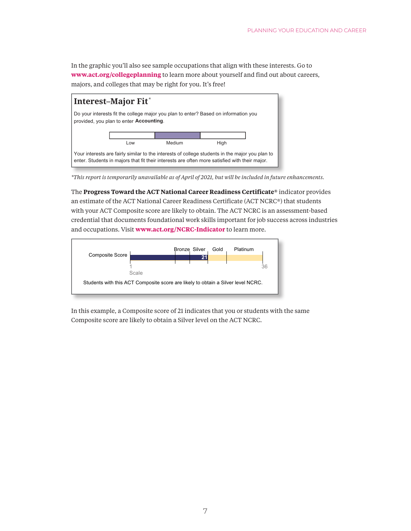In the graphic you'll also see sample occupations that align with these interests. Go to **<www.act.org/collegeplanning>** to learn more about yourself and find out about careers, majors, and colleges that may be right for you. It's free!  $arccos$ , majors, and colleges that m  $\mathcal{L}$ <sup>l</sup> Have you taken more coursework or an intensive review



**Progress Toward the ACT National**  *\*This report is temporarily unavailable as of April of 2021, but will be included in future enhancements.* No change

with your ACT Composite score are likely to obtain. The ACT NCRC is an assessment-based credential that documents foundational work skills important for job success across industries and occupations. Visit **<www.act.org/NCRC-Indicator>** to learn more. an estimate of the ACT National Career Readiness Certificate (ACT NCRC®) that students The Progress Toward the ACT National Career Readiness Certificate® indicator provides  $\mathcal{L}$  and  $\mathcal{L}$  are likely to obtain a Silver level on  $\mathcal{L}$ success across industries and occupations. Visit **www.act.org/NCRC-indicator** to learn



In this example, a Composite score of 21 indicates that you or students with the same Composite score are likely to obtain a Silver level on the ACT NCRC.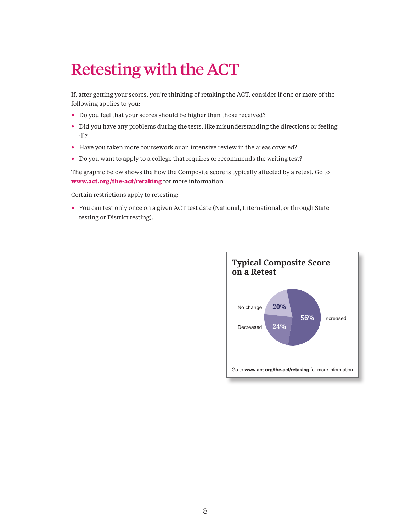### Retesting with the ACT still send scores to other colleges. Visit **www.act.org/the-act/scores** to explore student

<span id="page-7-0"></span>If, after getting your scores, you're thinking of retaking the ACT, consider if one or more of the following applies to you:

- Do you feel that your scores should be higher than those received?
- Did you have any problems during the tests, like misunderstanding the directions or feeling ill?
- Have you taken more coursework or an intensive review in the areas covered?
- Do you want to apply to a college that requires or recommends the writing test?

The graphic below shows the how the Composite score is typically affected by a retest. Go to **<www.act.org/the-act/retaking>** for more information.

Certain restrictions apply to retesting:

• You can test only once on a given ACT test date (National, International, or through State testing or District testing). m, micrimatonal, or through orale

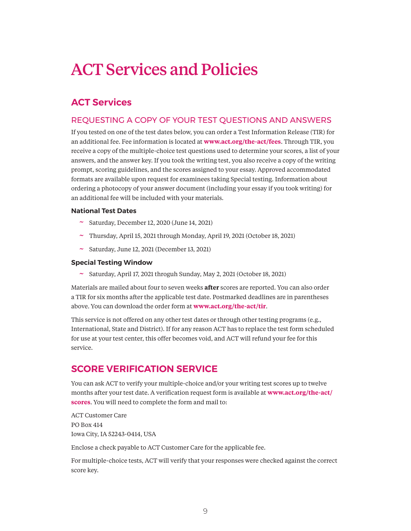# <span id="page-8-0"></span>ACT Services and Policies

# **ACT Services**

### REQUESTING A COPY OF YOUR TEST QUESTIONS AND ANSWERS

If you tested on one of the test dates below, you can order a Test Information Release (TIR) for an additional fee. Fee information is located at **<www.act.org/the-act/fees>**. Through TIR, you receive a copy of the multiple-choice test questions used to determine your scores, a list of your answers, and the answer key. If you took the writing test, you also receive a copy of the writing prompt, scoring guidelines, and the scores assigned to your essay. Approved accommodated formats are available upon request for examinees taking Special testing. Information about ordering a photocopy of your answer document (including your essay if you took writing) for an additional fee will be included with your materials.

#### **National Test Dates**

- $\sim$  Saturday, December 12, 2020 (June 14, 2021)
- ~ Thursday, April 15, 2021 through Monday, April 19, 2021 (October 18, 2021)
- $\sim$  Saturday, June 12, 2021 (December 13, 2021)

#### **Special Testing Window**

~ Saturday, April 17, 2021 throguh Sunday, May 2, 2021 (October 18, 2021)

Materials are mailed about four to seven weeks **after** scores are reported. You can also order a TIR for six months after the applicable test date. Postmarked deadlines are in parentheses above. You can download the order form at **<www.act.org/the-act/tir>**.

This service is not offered on any other test dates or through other testing programs (e.g., International, State and District). If for any reason ACT has to replace the test form scheduled for use at your test center, this offer becomes void, and ACT will refund your fee for this service.

## **SCORE VERIFICATION SERVICE**

You can ask ACT to verify your multiple-choice and/or your writing test scores up to twelve months after your test date. A verification request form is available at **[www.act.org/the-act/](www.act.org/the-act/scores) [scores](www.act.org/the-act/scores)**. You will need to complete the form and mail to:

ACT Customer Care PO Box 414 Iowa City, IA 52243-0414, USA

Enclose a check payable to ACT Customer Care for the applicable fee.

For multiple-choice tests, ACT will verify that your responses were checked against the correct score key.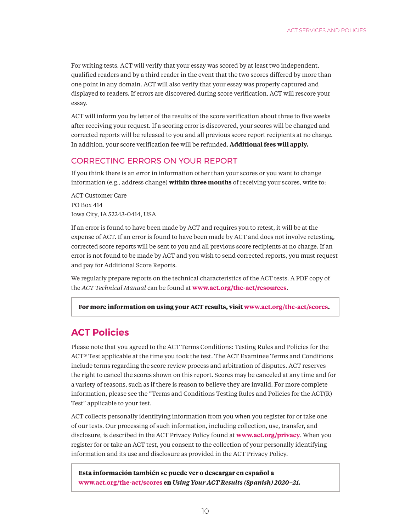For writing tests, ACT will verify that your essay was scored by at least two independent, qualified readers and by a third reader in the event that the two scores differed by more than one point in any domain. ACT will also verify that your essay was properly captured and displayed to readers. If errors are discovered during score verification, ACT will rescore your essay.

ACT will inform you by letter of the results of the score verification about three to five weeks after receiving your request. If a scoring error is discovered, your scores will be changed and corrected reports will be released to you and all previous score report recipients at no charge. In addition, your score verification fee will be refunded. **Additional fees will apply.**

#### CORRECTING ERRORS ON YOUR REPORT

If you think there is an error in information other than your scores or you want to change information (e.g., address change) **within three months** of receiving your scores, write to:

ACT Customer Care PO Box 414 Iowa City, IA 52243-0414, USA

If an error is found to have been made by ACT and requires you to retest, it will be at the expense of ACT. If an error is found to have been made by ACT and does not involve retesting, corrected score reports will be sent to you and all previous score recipients at no charge. If an error is not found to be made by ACT and you wish to send corrected reports, you must request and pay for Additional Score Reports.

We regularly prepare reports on the technical characteristics of the ACT tests. A PDF copy of the *ACT Technical Manual* can be found at **<www.act.org/the-act/resources>**.

**For more information on using your ACT results, visit [www.act.org/the-act/scores](http://www.act.org/the-act/scores).**

## **ACT Policies**

Please note that you agreed to the ACT Terms Conditions: Testing Rules and Policies for the ACT® Test applicable at the time you took the test. The ACT Examinee Terms and Conditions include terms regarding the score review process and arbitration of disputes. ACT reserves the right to cancel the scores shown on this report. Scores may be canceled at any time and for a variety of reasons, such as if there is reason to believe they are invalid. For more complete information, please see the "Terms and Conditions Testing Rules and Policies for the ACT(R) Test" applicable to your test.

ACT collects personally identifying information from you when you register for or take one of our tests. Our processing of such information, including collection, use, transfer, and disclosure, is described in the ACT Privacy Policy found at **<www.act.org/privacy>**. When you register for or take an ACT test, you consent to the collection of your personally identifying information and its use and disclosure as provided in the ACT Privacy Policy.

**Esta información también se puede ver o descargar en español a <www.act.org/the-act/scores> en** *Using Your ACT Results (Spanish) 2020–21.*